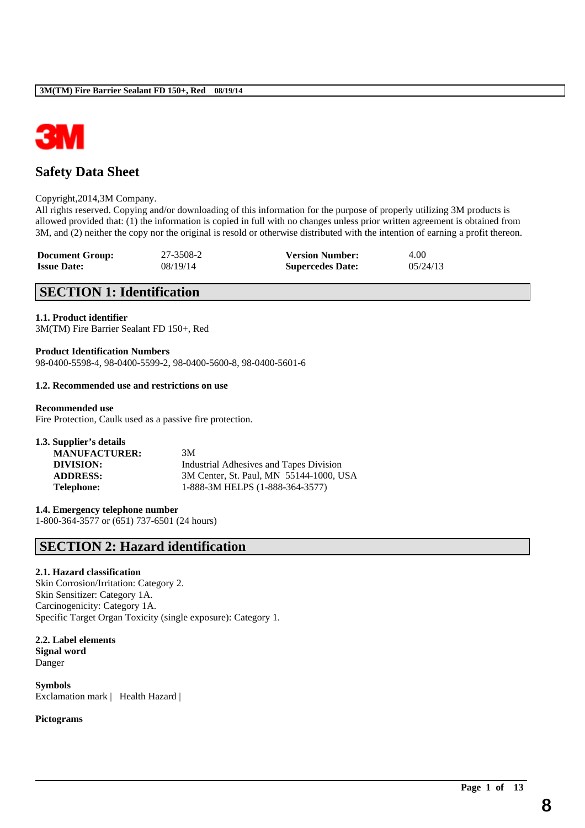

# **Safety Data Sheet**

### Copyright,2014,3M Company.

All rights reserved. Copying and/or downloading of this information for the purpose of properly utilizing 3M products is allowed provided that: (1) the information is copied in full with no changes unless prior written agreement is obtained from 3M, and (2) neither the copy nor the original is resold or otherwise distributed with the intention of earning a profit thereon.

\_\_\_\_\_\_\_\_\_\_\_\_\_\_\_\_\_\_\_\_\_\_\_\_\_\_\_\_\_\_\_\_\_\_\_\_\_\_\_\_\_\_\_\_\_\_\_\_\_\_\_\_\_\_\_\_\_\_\_\_\_\_\_\_\_\_\_\_\_\_\_\_\_\_\_\_\_\_\_\_\_\_\_\_\_\_\_\_\_\_

| <b>Document Group:</b> | 27-3508-2 | <b>Version Number:</b>  | 4.00     |
|------------------------|-----------|-------------------------|----------|
| <b>Issue Date:</b>     | 08/19/14  | <b>Supercedes Date:</b> | 05/24/13 |

## **SECTION 1: Identification**

### **1.1. Product identifier**

3M(TM) Fire Barrier Sealant FD 150+, Red

**Product Identification Numbers** 98-0400-5598-4, 98-0400-5599-2, 98-0400-5600-8, 98-0400-5601-6

### **1.2. Recommended use and restrictions on use**

### **Recommended use**

Fire Protection, Caulk used as a passive fire protection.

| 3M                                      |
|-----------------------------------------|
| Industrial Adhesives and Tapes Division |
| 3M Center, St. Paul, MN 55144-1000, USA |
| 1-888-3M HELPS (1-888-364-3577)         |
|                                         |

**1.4. Emergency telephone number** 1-800-364-3577 or (651) 737-6501 (24 hours)

## **SECTION 2: Hazard identification**

### **2.1. Hazard classification**

Skin Corrosion/Irritation: Category 2. Skin Sensitizer: Category 1A. Carcinogenicity: Category 1A. Specific Target Organ Toxicity (single exposure): Category 1.

**2.2. Label elements Signal word** Danger

**Symbols** Exclamation mark | Health Hazard |

#### **Pictograms**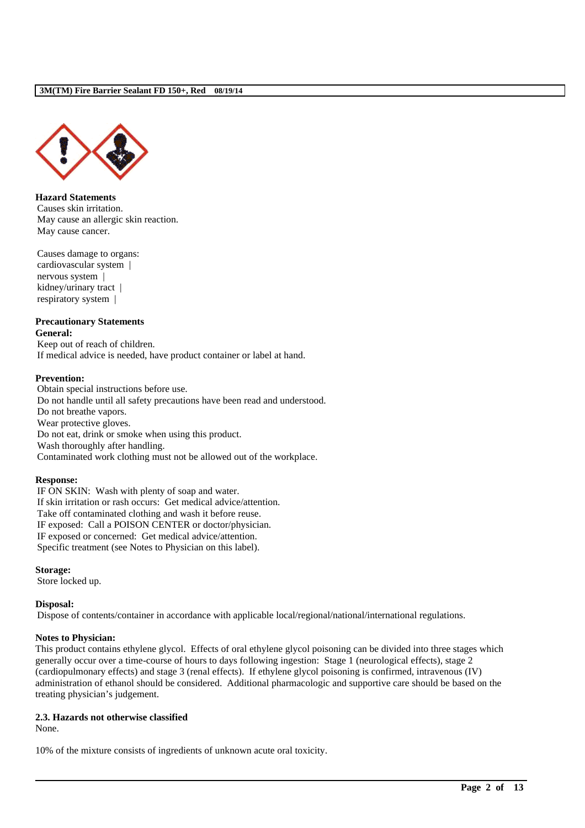

**Hazard Statements** Causes skin irritation. May cause an allergic skin reaction. May cause cancer.

Causes damage to organs: cardiovascular system | nervous system | kidney/urinary tract | respiratory system |

### **Precautionary Statements General:**

Keep out of reach of children. If medical advice is needed, have product container or label at hand.

### **Prevention:**

Obtain special instructions before use. Do not handle until all safety precautions have been read and understood. Do not breathe vapors. Wear protective gloves. Do not eat, drink or smoke when using this product. Wash thoroughly after handling. Contaminated work clothing must not be allowed out of the workplace.

### **Response:**

IF ON SKIN: Wash with plenty of soap and water. If skin irritation or rash occurs: Get medical advice/attention. Take off contaminated clothing and wash it before reuse. IF exposed: Call a POISON CENTER or doctor/physician. IF exposed or concerned: Get medical advice/attention. Specific treatment (see Notes to Physician on this label).

#### **Storage:**

Store locked up.

### **Disposal:**

Dispose of contents/container in accordance with applicable local/regional/national/international regulations.

#### **Notes to Physician:**

This product contains ethylene glycol. Effects of oral ethylene glycol poisoning can be divided into three stages which generally occur over a time-course of hours to days following ingestion: Stage 1 (neurological effects), stage 2 (cardiopulmonary effects) and stage 3 (renal effects). If ethylene glycol poisoning is confirmed, intravenous (IV) administration of ethanol should be considered. Additional pharmacologic and supportive care should be based on the treating physician's judgement.

\_\_\_\_\_\_\_\_\_\_\_\_\_\_\_\_\_\_\_\_\_\_\_\_\_\_\_\_\_\_\_\_\_\_\_\_\_\_\_\_\_\_\_\_\_\_\_\_\_\_\_\_\_\_\_\_\_\_\_\_\_\_\_\_\_\_\_\_\_\_\_\_\_\_\_\_\_\_\_\_\_\_\_\_\_\_\_\_\_\_

#### **2.3. Hazards not otherwise classified**

None.

10% of the mixture consists of ingredients of unknown acute oral toxicity.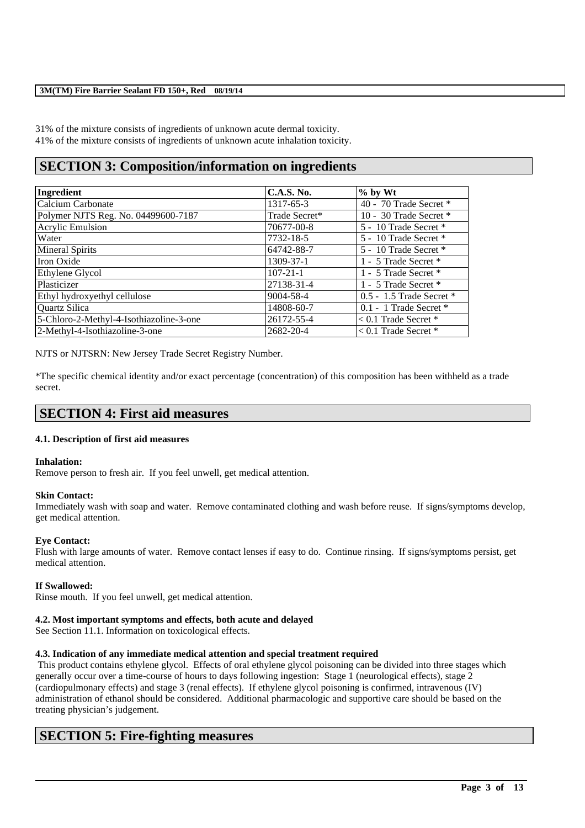31% of the mixture consists of ingredients of unknown acute dermal toxicity. 41% of the mixture consists of ingredients of unknown acute inhalation toxicity.

# **SECTION 3: Composition/information on ingredients**

| Ingredient                              | <b>C.A.S. No.</b> | $%$ by Wt                    |
|-----------------------------------------|-------------------|------------------------------|
| Calcium Carbonate                       | 1317-65-3         | 40 - 70 Trade Secret $*$     |
| Polymer NJTS Reg. No. 04499600-7187     | Trade Secret*     | 10 - 30 Trade Secret $*$     |
| <b>Acrylic Emulsion</b>                 | 70677-00-8        | 5 - 10 Trade Secret *        |
| Water                                   | 7732-18-5         | 5 - 10 Trade Secret *        |
| <b>Mineral Spirits</b>                  | 64742-88-7        | 5 - 10 Trade Secret *        |
| Iron Oxide                              | 1309-37-1         | 1 - 5 Trade Secret *         |
| Ethylene Glycol                         | $107 - 21 - 1$    | 1 - 5 Trade Secret *         |
| Plasticizer                             | 27138-31-4        | 1 - 5 Trade Secret *         |
| Ethyl hydroxyethyl cellulose            | 9004-58-4         | $0.5 - 1.5$ Trade Secret $*$ |
| Quartz Silica                           | 14808-60-7        | $0.1 - 1$ Trade Secret $*$   |
| 5-Chloro-2-Methyl-4-Isothiazoline-3-one | 26172-55-4        | $< 0.1$ Trade Secret *       |
| 2-Methyl-4-Isothiazoline-3-one          | 2682-20-4         | $< 0.1$ Trade Secret *       |

NJTS or NJTSRN: New Jersey Trade Secret Registry Number.

\*The specific chemical identity and/or exact percentage (concentration) of this composition has been withheld as a trade secret.

### **SECTION 4: First aid measures**

### **4.1. Description of first aid measures**

#### **Inhalation:**

Remove person to fresh air. If you feel unwell, get medical attention.

### **Skin Contact:**

Immediately wash with soap and water. Remove contaminated clothing and wash before reuse. If signs/symptoms develop, get medical attention.

### **Eye Contact:**

Flush with large amounts of water. Remove contact lenses if easy to do. Continue rinsing. If signs/symptoms persist, get medical attention.

### **If Swallowed:**

Rinse mouth. If you feel unwell, get medical attention.

### **4.2. Most important symptoms and effects, both acute and delayed**

See Section 11.1. Information on toxicological effects.

### **4.3. Indication of any immediate medical attention and special treatment required**

This product contains ethylene glycol. Effects of oral ethylene glycol poisoning can be divided into three stages which generally occur over a time-course of hours to days following ingestion: Stage 1 (neurological effects), stage 2 (cardiopulmonary effects) and stage 3 (renal effects). If ethylene glycol poisoning is confirmed, intravenous (IV) administration of ethanol should be considered. Additional pharmacologic and supportive care should be based on the treating physician's judgement.

\_\_\_\_\_\_\_\_\_\_\_\_\_\_\_\_\_\_\_\_\_\_\_\_\_\_\_\_\_\_\_\_\_\_\_\_\_\_\_\_\_\_\_\_\_\_\_\_\_\_\_\_\_\_\_\_\_\_\_\_\_\_\_\_\_\_\_\_\_\_\_\_\_\_\_\_\_\_\_\_\_\_\_\_\_\_\_\_\_\_

# **SECTION 5: Fire-fighting measures**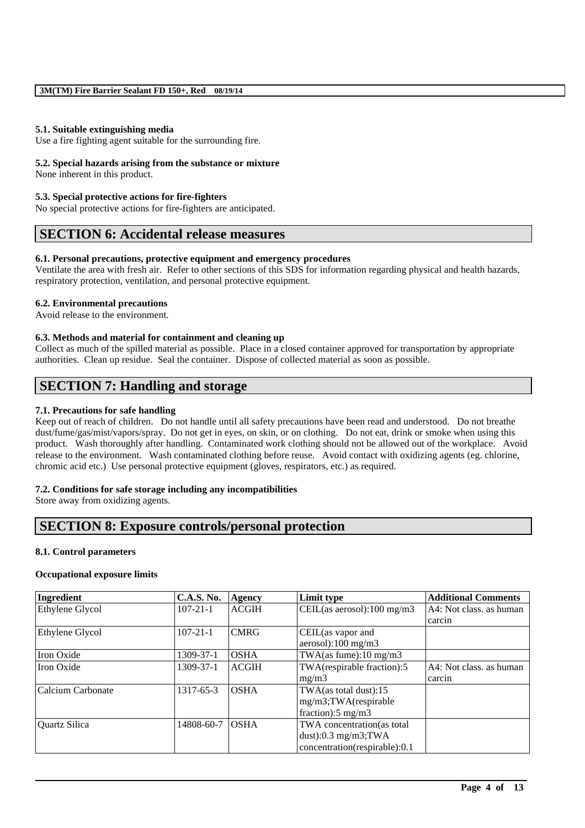### **5.1. Suitable extinguishing media**

Use a fire fighting agent suitable for the surrounding fire.

### **5.2. Special hazards arising from the substance or mixture**

None inherent in this product.

### **5.3. Special protective actions for fire-fighters**

No special protective actions for fire-fighters are anticipated.

## **SECTION 6: Accidental release measures**

### **6.1. Personal precautions, protective equipment and emergency procedures**

Ventilate the area with fresh air. Refer to other sections of this SDS for information regarding physical and health hazards, respiratory protection, ventilation, and personal protective equipment.

### **6.2. Environmental precautions**

Avoid release to the environment.

### **6.3. Methods and material for containment and cleaning up**

Collect as much of the spilled material as possible. Place in a closed container approved for transportation by appropriate authorities. Clean up residue. Seal the container. Dispose of collected material as soon as possible.

## **SECTION 7: Handling and storage**

### **7.1. Precautions for safe handling**

Keep out of reach of children. Do not handle until all safety precautions have been read and understood. Do not breathe dust/fume/gas/mist/vapors/spray. Do not get in eyes, on skin, or on clothing. Do not eat, drink or smoke when using this product. Wash thoroughly after handling. Contaminated work clothing should not be allowed out of the workplace. Avoid release to the environment. Wash contaminated clothing before reuse. Avoid contact with oxidizing agents (eg. chlorine, chromic acid etc.) Use personal protective equipment (gloves, respirators, etc.) as required.

### **7.2. Conditions for safe storage including any incompatibilities**

Store away from oxidizing agents.

### **SECTION 8: Exposure controls/personal protection**

#### **8.1. Control parameters**

### **Occupational exposure limits**

| Ingredient        | <b>C.A.S. No.</b> | Agency       | Limit type                             | <b>Additional Comments</b> |
|-------------------|-------------------|--------------|----------------------------------------|----------------------------|
| Ethylene Glycol   | $107 - 21 - 1$    | <b>ACGIH</b> | CEIL(as aerosol): $100 \text{ mg/m}$ 3 | A4: Not class. as human    |
|                   |                   |              |                                        | carcin                     |
| Ethylene Glycol   | $107 - 21 - 1$    | <b>CMRG</b>  | CEIL(as vapor and                      |                            |
|                   |                   |              | aerosol):100 mg/m3                     |                            |
| Iron Oxide        | 1309-37-1         | <b>OSHA</b>  | TWA(as fume): $10 \text{ mg/m}$ 3      |                            |
| Iron Oxide        | 1309-37-1         | <b>ACGIH</b> | TWA(respirable fraction):5             | A4: Not class, as human    |
|                   |                   |              | mg/m3                                  | carcin                     |
| Calcium Carbonate | 1317-65-3         | <b>OSHA</b>  | TWA(as total dust):15                  |                            |
|                   |                   |              | mg/m3;TWA(respirable                   |                            |
|                   |                   |              | fraction): $5 \text{ mg/m}$ 3          |                            |
| Quartz Silica     | 14808-60-7        | <b>OSHA</b>  | TWA concentration(as total             |                            |
|                   |                   |              | dust): $0.3$ mg/m3;TWA                 |                            |
|                   |                   |              | concentration(respirable):0.1          |                            |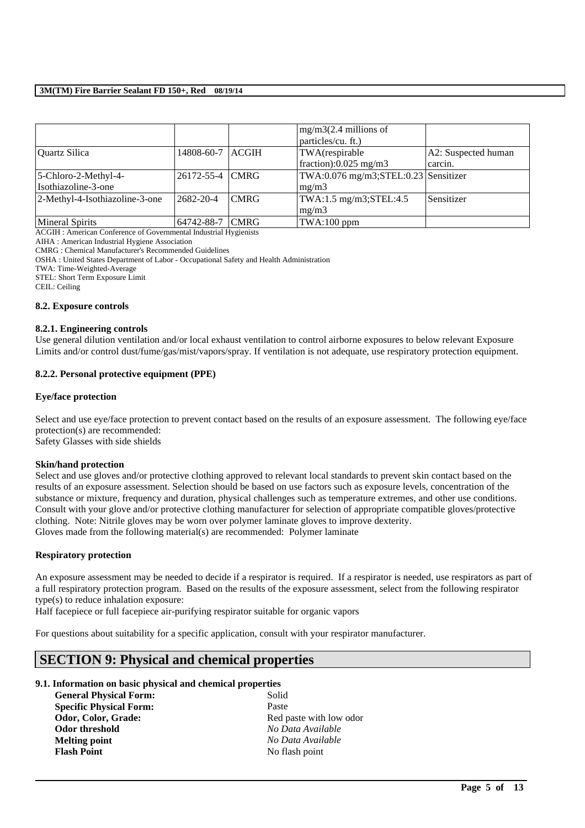|                                |                 |             | $mg/m3(2.4$ millions of                |                     |
|--------------------------------|-----------------|-------------|----------------------------------------|---------------------|
|                                |                 |             | particles/cu. ft.)                     |                     |
| Quartz Silica                  | 14808-60-7      | ACGH        | TWA(respirable                         | A2: Suspected human |
|                                |                 |             | fraction): $0.025$ mg/m3               | carcin.             |
| $5$ -Chloro-2-Methyl-4-        | 26172-55-4 CMRG |             | $TWA:0.076$ mg/m3;STEL:0.23 Sensitizer |                     |
| Isothiazoline-3-one            |                 |             | mg/m3                                  |                     |
| 2-Methyl-4-Isothiazoline-3-one | $2682 - 20 - 4$ | <b>CMRG</b> | TWA:1.5 mg/m3;STEL:4.5                 | Sensitizer          |
|                                |                 |             | mg/m3                                  |                     |
| <b>Mineral Spirits</b>         | 64742-88-7      | <b>CMRG</b> | $TWA:100$ ppm                          |                     |

ACGIH : American Conference of Governmental Industrial Hygienists

AIHA : American Industrial Hygiene Association

CMRG : Chemical Manufacturer's Recommended Guidelines

OSHA : United States Department of Labor - Occupational Safety and Health Administration

TWA: Time-Weighted-Average

STEL: Short Term Exposure Limit

CEIL: Ceiling

#### **8.2. Exposure controls**

### **8.2.1. Engineering controls**

Use general dilution ventilation and/or local exhaust ventilation to control airborne exposures to below relevant Exposure Limits and/or control dust/fume/gas/mist/vapors/spray. If ventilation is not adequate, use respiratory protection equipment.

### **8.2.2. Personal protective equipment (PPE)**

### **Eye/face protection**

Select and use eye/face protection to prevent contact based on the results of an exposure assessment. The following eye/face protection(s) are recommended: Safety Glasses with side shields

### **Skin/hand protection**

Select and use gloves and/or protective clothing approved to relevant local standards to prevent skin contact based on the results of an exposure assessment. Selection should be based on use factors such as exposure levels, concentration of the substance or mixture, frequency and duration, physical challenges such as temperature extremes, and other use conditions. Consult with your glove and/or protective clothing manufacturer for selection of appropriate compatible gloves/protective clothing. Note: Nitrile gloves may be worn over polymer laminate gloves to improve dexterity. Gloves made from the following material(s) are recommended: Polymer laminate

#### **Respiratory protection**

An exposure assessment may be needed to decide if a respirator is required. If a respirator is needed, use respirators as part of a full respiratory protection program. Based on the results of the exposure assessment, select from the following respirator type(s) to reduce inhalation exposure:

\_\_\_\_\_\_\_\_\_\_\_\_\_\_\_\_\_\_\_\_\_\_\_\_\_\_\_\_\_\_\_\_\_\_\_\_\_\_\_\_\_\_\_\_\_\_\_\_\_\_\_\_\_\_\_\_\_\_\_\_\_\_\_\_\_\_\_\_\_\_\_\_\_\_\_\_\_\_\_\_\_\_\_\_\_\_\_\_\_\_

Half facepiece or full facepiece air-purifying respirator suitable for organic vapors

For questions about suitability for a specific application, consult with your respirator manufacturer.

### **SECTION 9: Physical and chemical properties**

### **9.1. Information on basic physical and chemical properties**

**General Physical Form:** Solid **Specific Physical Form:** Paste **Odor, Color, Grade:** Red paste with low odor **Odor threshold** *No Data Available* **Melting point** *No Data Available* **Flash Point** No flash point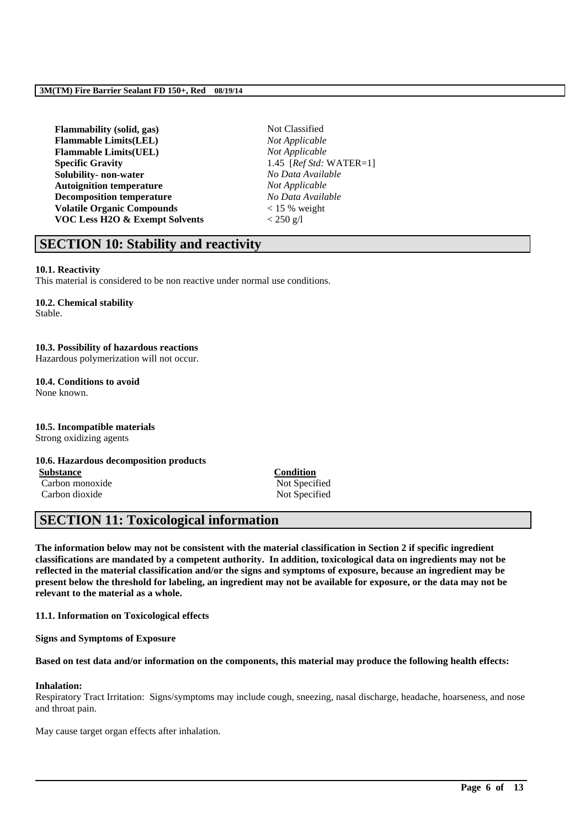| Not Classified             |
|----------------------------|
| Not Applicable             |
| Not Applicable             |
| 1.45 [ $RefStd: WATER=1$ ] |
| No Data Available          |
| Not Applicable             |
| No Data Available          |
| $< 15 %$ weight            |
| $< 250$ g/l                |
|                            |

## **SECTION 10: Stability and reactivity**

### **10.1. Reactivity**

This material is considered to be non reactive under normal use conditions.

#### **10.2. Chemical stability** Stable.

**10.3. Possibility of hazardous reactions** Hazardous polymerization will not occur.

#### **10.4. Conditions to avoid** None known.

**10.5. Incompatible materials** Strong oxidizing agents

### **10.6. Hazardous decomposition products**

**Substance**<br> **Carbon monoxide**<br> **Carbon monoxide**<br> **Condition**<br> **Condition**<br> **Condition** Carbon monoxide

Carbon dioxide Not Specified

## **SECTION 11: Toxicological information**

**The information below may not be consistent with the material classification in Section 2 if specific ingredient classifications are mandated by a competent authority. In addition, toxicological data on ingredients may not be reflected in the material classification and/or the signs and symptoms of exposure, because an ingredient may be present below the threshold for labeling, an ingredient may not be available for exposure, or the data may not be relevant to the material as a whole.**

**11.1. Information on Toxicological effects**

**Signs and Symptoms of Exposure**

### **Based on test data and/or information on the components, this material may produce the following health effects:**

### **Inhalation:**

Respiratory Tract Irritation: Signs/symptoms may include cough, sneezing, nasal discharge, headache, hoarseness, and nose and throat pain.

\_\_\_\_\_\_\_\_\_\_\_\_\_\_\_\_\_\_\_\_\_\_\_\_\_\_\_\_\_\_\_\_\_\_\_\_\_\_\_\_\_\_\_\_\_\_\_\_\_\_\_\_\_\_\_\_\_\_\_\_\_\_\_\_\_\_\_\_\_\_\_\_\_\_\_\_\_\_\_\_\_\_\_\_\_\_\_\_\_\_

May cause target organ effects after inhalation.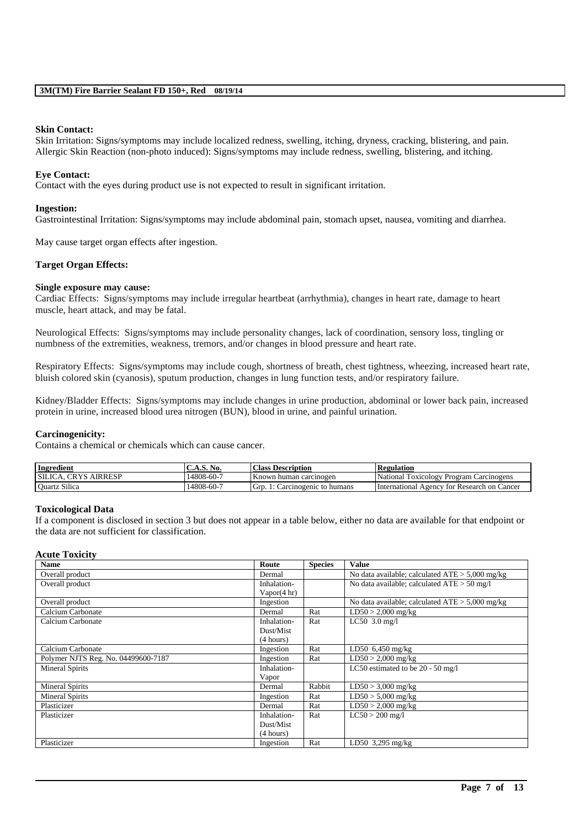### **Skin Contact:**

Skin Irritation: Signs/symptoms may include localized redness, swelling, itching, dryness, cracking, blistering, and pain. Allergic Skin Reaction (non-photo induced): Signs/symptoms may include redness, swelling, blistering, and itching.

### **Eye Contact:**

Contact with the eyes during product use is not expected to result in significant irritation.

### **Ingestion:**

Gastrointestinal Irritation: Signs/symptoms may include abdominal pain, stomach upset, nausea, vomiting and diarrhea.

May cause target organ effects after ingestion.

### **Target Organ Effects:**

### **Single exposure may cause:**

Cardiac Effects: Signs/symptoms may include irregular heartbeat (arrhythmia), changes in heart rate, damage to heart muscle, heart attack, and may be fatal.

Neurological Effects: Signs/symptoms may include personality changes, lack of coordination, sensory loss, tingling or numbness of the extremities, weakness, tremors, and/or changes in blood pressure and heart rate.

Respiratory Effects: Signs/symptoms may include cough, shortness of breath, chest tightness, wheezing, increased heart rate, bluish colored skin (cyanosis), sputum production, changes in lung function tests, and/or respiratory failure.

Kidney/Bladder Effects: Signs/symptoms may include changes in urine production, abdominal or lower back pain, increased protein in urine, increased blood urea nitrogen (BUN), blood in urine, and painful urination.

### **Carcinogenicity:**

Contains a chemical or chemicals which can cause cancer.

| Ingredient                  | C.A.S. No. | <b>Class Description</b>         | <b>Regulation</b>                           |
|-----------------------------|------------|----------------------------------|---------------------------------------------|
| <b>SILICA. CRYS AIRRESP</b> | .4808-60-7 | Known human carcinogen           | Toxicology Program Carcinogens<br>National  |
| <b>Ouartz Silica</b>        | ،4808-60-7 | l irn.<br>Carcinogenic to humans | International Agency for Research on Cancer |

#### **Toxicological Data**

If a component is disclosed in section 3 but does not appear in a table below, either no data are available for that endpoint or the data are not sufficient for classification.

#### **Acute Toxicity**

| <b>Name</b>                         | Route       | <b>Species</b> | <b>Value</b>                                      |
|-------------------------------------|-------------|----------------|---------------------------------------------------|
| Overall product                     | Dermal      |                | No data available; calculated $ATE > 5,000$ mg/kg |
| Overall product                     | Inhalation- |                | No data available; calculated $ATE > 50$ mg/l     |
|                                     | Vapor(4 hr) |                |                                                   |
| Overall product                     | Ingestion   |                | No data available; calculated $ATE > 5,000$ mg/kg |
| Calcium Carbonate                   | Dermal      | Rat            | $LD50 > 2,000$ mg/kg                              |
| Calcium Carbonate                   | Inhalation- | Rat            | $LC50$ 3.0 mg/l                                   |
|                                     | Dust/Mist   |                |                                                   |
|                                     | (4 hours)   |                |                                                   |
| Calcium Carbonate                   | Ingestion   | Rat            | LD50 $6,450$ mg/kg                                |
| Polymer NJTS Reg. No. 04499600-7187 | Ingestion   | Rat            | $LD50 > 2,000$ mg/kg                              |
| <b>Mineral Spirits</b>              | Inhalation- |                | LC50 estimated to be $20 - 50$ mg/l               |
|                                     | Vapor       |                |                                                   |
| <b>Mineral Spirits</b>              | Dermal      | Rabbit         | $LD50 > 3,000$ mg/kg                              |
| <b>Mineral Spirits</b>              | Ingestion   | Rat            | $LD50 > 5,000$ mg/kg                              |
| Plasticizer                         | Dermal      | Rat            | $LD50 > 2,000$ mg/kg                              |
| Plasticizer                         | Inhalation- | Rat            | $LC50 > 200$ mg/l                                 |
|                                     | Dust/Mist   |                |                                                   |
|                                     | (4 hours)   |                |                                                   |
| Plasticizer                         | Ingestion   | Rat            | LD50 $3,295$ mg/kg                                |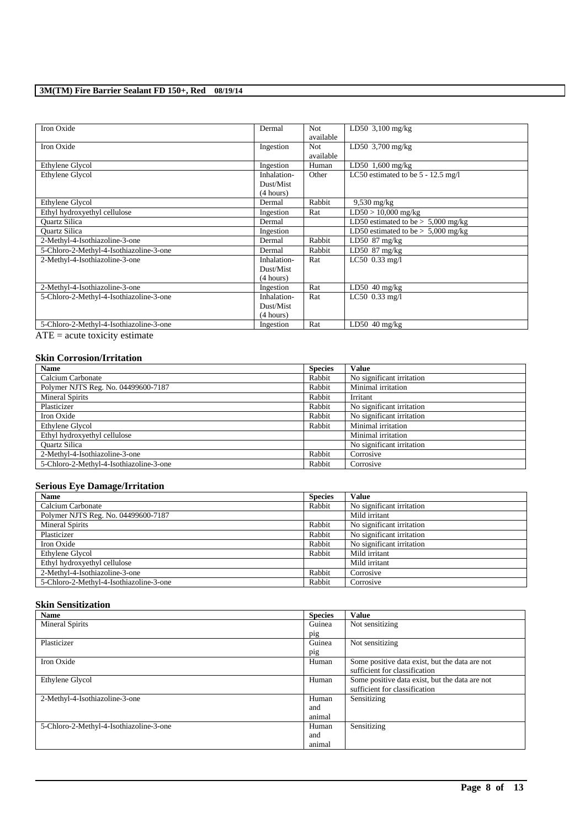| Iron Oxide                              | Dermal      | Not.      | LD50 $3,100$ mg/kg                   |
|-----------------------------------------|-------------|-----------|--------------------------------------|
|                                         |             | available |                                      |
| Iron Oxide                              | Ingestion   | Not.      | LD50 $3,700$ mg/kg                   |
|                                         |             | available |                                      |
| Ethylene Glycol                         | Ingestion   | Human     | LD50 $1,600$ mg/kg                   |
| Ethylene Glycol                         | Inhalation- | Other     | LC50 estimated to be $5 - 12.5$ mg/l |
|                                         | Dust/Mist   |           |                                      |
|                                         | (4 hours)   |           |                                      |
| Ethylene Glycol                         | Dermal      | Rabbit    | $9,530$ mg/kg                        |
| Ethyl hydroxyethyl cellulose            | Ingestion   | Rat       | $LD50 > 10,000$ mg/kg                |
| <b>Ouartz Silica</b>                    | Dermal      |           | LD50 estimated to be $> 5,000$ mg/kg |
| <b>Ouartz Silica</b>                    | Ingestion   |           | LD50 estimated to be $> 5,000$ mg/kg |
| 2-Methyl-4-Isothiazoline-3-one          | Dermal      | Rabbit    | LD50 $87 \text{ mg/kg}$              |
| 5-Chloro-2-Methyl-4-Isothiazoline-3-one | Dermal      | Rabbit    | LD50 87 mg/kg                        |
| 2-Methyl-4-Isothiazoline-3-one          | Inhalation- | Rat       | $LC50$ 0.33 mg/l                     |
|                                         | Dust/Mist   |           |                                      |
|                                         | (4 hours)   |           |                                      |
| 2-Methyl-4-Isothiazoline-3-one          | Ingestion   | Rat       | LD50 $40$ mg/kg                      |
| 5-Chloro-2-Methyl-4-Isothiazoline-3-one | Inhalation- | Rat       | $LC50$ 0.33 mg/l                     |
|                                         | Dust/Mist   |           |                                      |
|                                         | (4 hours)   |           |                                      |
| 5-Chloro-2-Methyl-4-Isothiazoline-3-one | Ingestion   | Rat       | LD50 $40$ mg/kg                      |

ATE = acute toxicity estimate

### **Skin Corrosion/Irritation**

| <b>Name</b>                             | <b>Species</b> | <b>Value</b>              |
|-----------------------------------------|----------------|---------------------------|
| Calcium Carbonate                       | Rabbit         | No significant irritation |
| Polymer NJTS Reg. No. 04499600-7187     | Rabbit         | Minimal irritation        |
| <b>Mineral Spirits</b>                  | Rabbit         | Irritant                  |
| Plasticizer                             | Rabbit         | No significant irritation |
| Iron Oxide                              | Rabbit         | No significant irritation |
| Ethylene Glycol                         | Rabbit         | Minimal irritation        |
| Ethyl hydroxyethyl cellulose            |                | Minimal irritation        |
| <b>Ouartz Silica</b>                    |                | No significant irritation |
| 2-Methyl-4-Isothiazoline-3-one          | Rabbit         | Corrosive                 |
| 5-Chloro-2-Methyl-4-Isothiazoline-3-one | Rabbit         | Corrosive                 |

### **Serious Eye Damage/Irritation**

| <b>Name</b>                             | <b>Species</b> | <b>Value</b>              |
|-----------------------------------------|----------------|---------------------------|
| Calcium Carbonate                       | Rabbit         | No significant irritation |
| Polymer NJTS Reg. No. 04499600-7187     |                | Mild irritant             |
| Mineral Spirits                         | Rabbit         | No significant irritation |
| Plasticizer                             | Rabbit         | No significant irritation |
| Iron Oxide                              | Rabbit         | No significant irritation |
| Ethylene Glycol                         | Rabbit         | Mild irritant             |
| Ethyl hydroxyethyl cellulose            |                | Mild irritant             |
| 2-Methyl-4-Isothiazoline-3-one          | Rabbit         | Corrosive                 |
| 5-Chloro-2-Methyl-4-Isothiazoline-3-one | Rabbit         | Corrosive                 |

### **Skin Sensitization**

| Name                                    | <b>Species</b> | <b>Value</b>                                   |
|-----------------------------------------|----------------|------------------------------------------------|
| <b>Mineral Spirits</b>                  | Guinea         | Not sensitizing                                |
|                                         | pig            |                                                |
| Plasticizer                             | Guinea         | Not sensitizing                                |
|                                         | pig            |                                                |
| Iron Oxide                              | Human          | Some positive data exist, but the data are not |
|                                         |                | sufficient for classification                  |
| Ethylene Glycol                         | Human          | Some positive data exist, but the data are not |
|                                         |                | sufficient for classification                  |
| 2-Methyl-4-Isothiazoline-3-one          | Human          | Sensitizing                                    |
|                                         | and            |                                                |
|                                         | animal         |                                                |
| 5-Chloro-2-Methyl-4-Isothiazoline-3-one | Human          | Sensitizing                                    |
|                                         | and            |                                                |
|                                         | animal         |                                                |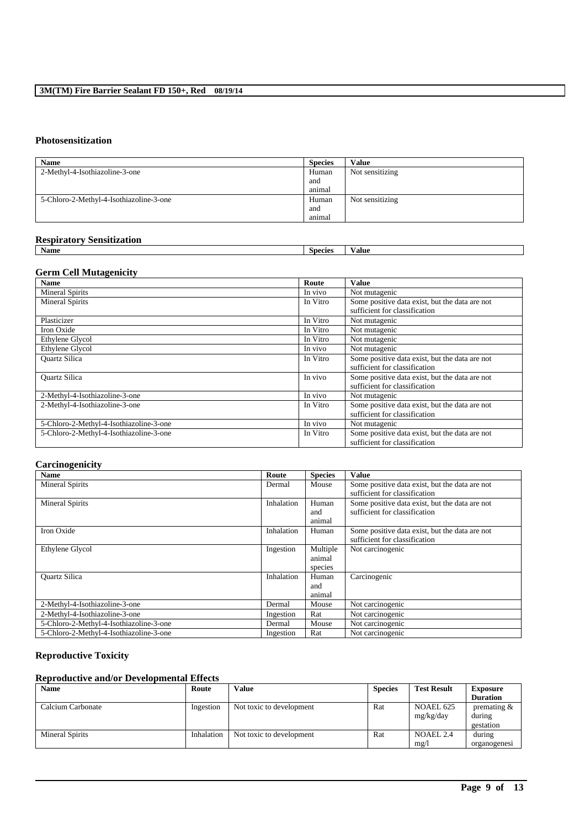### **Photosensitization**

| <b>Name</b>                             | <b>Species</b> | <b>Value</b>    |
|-----------------------------------------|----------------|-----------------|
| 2-Methyl-4-Isothiazoline-3-one          | Human          | Not sensitizing |
|                                         | and            |                 |
|                                         | animal         |                 |
| 5-Chloro-2-Methyl-4-Isothiazoline-3-one | Human          | Not sensitizing |
|                                         | and            |                 |
|                                         | animal         |                 |

### **Respiratory Sensitization**

| . .<br>Name |  | species | alue |
|-------------|--|---------|------|
|             |  |         |      |

### **Germ Cell Mutagenicity**

| <b>Name</b>                             | Route    | Value                                                                           |
|-----------------------------------------|----------|---------------------------------------------------------------------------------|
| <b>Mineral Spirits</b>                  | In vivo  | Not mutagenic                                                                   |
| <b>Mineral Spirits</b>                  | In Vitro | Some positive data exist, but the data are not<br>sufficient for classification |
| Plasticizer                             | In Vitro | Not mutagenic                                                                   |
| Iron Oxide                              | In Vitro | Not mutagenic                                                                   |
| Ethylene Glycol                         | In Vitro | Not mutagenic                                                                   |
| Ethylene Glycol                         | In vivo  | Not mutagenic                                                                   |
| <b>Ouartz Silica</b>                    | In Vitro | Some positive data exist, but the data are not<br>sufficient for classification |
| <b>Ouartz Silica</b>                    | In vivo  | Some positive data exist, but the data are not<br>sufficient for classification |
| 2-Methyl-4-Isothiazoline-3-one          | In vivo  | Not mutagenic                                                                   |
| 2-Methyl-4-Isothiazoline-3-one          | In Vitro | Some positive data exist, but the data are not<br>sufficient for classification |
| 5-Chloro-2-Methyl-4-Isothiazoline-3-one | In vivo  | Not mutagenic                                                                   |
| 5-Chloro-2-Methyl-4-Isothiazoline-3-one | In Vitro | Some positive data exist, but the data are not<br>sufficient for classification |

### **Carcinogenicity**

| <b>Name</b>                             | Route      | <b>Species</b>                | Value                                                                           |
|-----------------------------------------|------------|-------------------------------|---------------------------------------------------------------------------------|
| <b>Mineral Spirits</b>                  | Dermal     | Mouse                         | Some positive data exist, but the data are not<br>sufficient for classification |
| <b>Mineral Spirits</b>                  | Inhalation | Human<br>and<br>animal        | Some positive data exist, but the data are not<br>sufficient for classification |
| Iron Oxide                              | Inhalation | Human                         | Some positive data exist, but the data are not<br>sufficient for classification |
| Ethylene Glycol                         | Ingestion  | Multiple<br>animal<br>species | Not carcinogenic                                                                |
| Quartz Silica                           | Inhalation | Human<br>and<br>animal        | Carcinogenic                                                                    |
| 2-Methyl-4-Isothiazoline-3-one          | Dermal     | Mouse                         | Not carcinogenic                                                                |
| 2-Methyl-4-Isothiazoline-3-one          | Ingestion  | Rat                           | Not carcinogenic                                                                |
| 5-Chloro-2-Methyl-4-Isothiazoline-3-one | Dermal     | Mouse                         | Not carcinogenic                                                                |
| 5-Chloro-2-Methyl-4-Isothiazoline-3-one | Ingestion  | Rat                           | Not carcinogenic                                                                |

### **Reproductive Toxicity**

## **Reproductive and/or Developmental Effects**

| <b>Name</b>       | Route      | <b>Value</b>             | <b>Species</b> | <b>Test Result</b> | <b>Exposure</b> |
|-------------------|------------|--------------------------|----------------|--------------------|-----------------|
|                   |            |                          |                |                    | <b>Duration</b> |
| Calcium Carbonate | Ingestion  | Not toxic to development | Rat            | NOAEL 625          | premating $&$   |
|                   |            |                          |                | mg/kg/day          | during          |
|                   |            |                          |                |                    | gestation       |
| Mineral Spirits   | Inhalation | Not toxic to development | Rat            | <b>NOAEL 2.4</b>   | during          |
|                   |            |                          |                | mg/                | organogenesi    |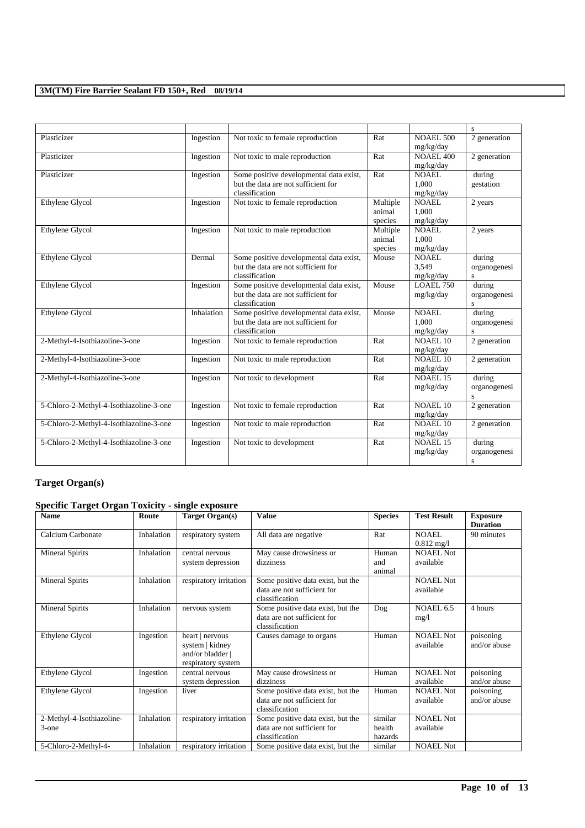|                                         |            |                                                                                                  |                               |                                    | S                                                 |
|-----------------------------------------|------------|--------------------------------------------------------------------------------------------------|-------------------------------|------------------------------------|---------------------------------------------------|
| Plasticizer                             | Ingestion  | Not toxic to female reproduction                                                                 | Rat                           | <b>NOAEL 500</b><br>mg/kg/day      | 2 generation                                      |
| Plasticizer                             | Ingestion  | Not toxic to male reproduction                                                                   | Rat                           | <b>NOAEL 400</b><br>mg/kg/day      | 2 generation                                      |
| Plasticizer                             | Ingestion  | Some positive developmental data exist,<br>but the data are not sufficient for<br>classification | Rat                           | <b>NOAEL</b><br>1.000<br>mg/kg/day | during<br>gestation                               |
| Ethylene Glycol                         | Ingestion  | Not toxic to female reproduction                                                                 | Multiple<br>animal<br>species | <b>NOAEL</b><br>1.000<br>mg/kg/day | 2 years                                           |
| Ethylene Glycol                         | Ingestion  | Not toxic to male reproduction                                                                   | Multiple<br>animal<br>species | <b>NOAEL</b><br>1.000<br>mg/kg/day | 2 years                                           |
| Ethylene Glycol                         | Dermal     | Some positive developmental data exist,<br>but the data are not sufficient for<br>classification | Mouse                         | <b>NOAEL</b><br>3.549<br>mg/kg/day | during<br>organogenesi<br>S                       |
| Ethylene Glycol                         | Ingestion  | Some positive developmental data exist,<br>but the data are not sufficient for<br>classification | Mouse                         | <b>LOAEL 750</b><br>mg/kg/day      | during<br>organogenesi<br>s                       |
| Ethylene Glycol                         | Inhalation | Some positive developmental data exist,<br>but the data are not sufficient for<br>classification | Mouse                         | <b>NOAEL</b><br>1.000<br>mg/kg/day | during<br>organogenesi<br>$\overline{\mathbf{s}}$ |
| 2-Methyl-4-Isothiazoline-3-one          | Ingestion  | Not toxic to female reproduction                                                                 | Rat                           | NOAEL 10<br>mg/kg/day              | 2 generation                                      |
| 2-Methyl-4-Isothiazoline-3-one          | Ingestion  | Not toxic to male reproduction                                                                   | Rat                           | NOAEL 10<br>mg/kg/day              | 2 generation                                      |
| 2-Methyl-4-Isothiazoline-3-one          | Ingestion  | Not toxic to development                                                                         | Rat                           | NOAEL 15<br>mg/kg/day              | during<br>organogenesi<br>S                       |
| 5-Chloro-2-Methyl-4-Isothiazoline-3-one | Ingestion  | Not toxic to female reproduction                                                                 | Rat                           | NOAEL 10<br>mg/kg/day              | 2 generation                                      |
| 5-Chloro-2-Methyl-4-Isothiazoline-3-one | Ingestion  | Not toxic to male reproduction                                                                   | Rat                           | <b>NOAEL 10</b><br>mg/kg/day       | 2 generation                                      |
| 5-Chloro-2-Methyl-4-Isothiazoline-3-one | Ingestion  | Not toxic to development                                                                         | Rat                           | NOAEL 15<br>mg/kg/day              | during<br>organogenesi<br>S                       |

# **Target Organ(s)**

## **Specific Target Organ Toxicity - single exposure**

| <b>Name</b>                        | Route      | <b>Target Organ(s)</b>                                                       | <b>Value</b>                                                                       | <b>Species</b>               | <b>Test Result</b>                   | <b>Exposure</b><br><b>Duration</b> |
|------------------------------------|------------|------------------------------------------------------------------------------|------------------------------------------------------------------------------------|------------------------------|--------------------------------------|------------------------------------|
| Calcium Carbonate                  | Inhalation | respiratory system                                                           | All data are negative                                                              | Rat                          | <b>NOAEL</b><br>$0.812 \text{ mg}/1$ | 90 minutes                         |
| <b>Mineral Spirits</b>             | Inhalation | central nervous<br>system depression                                         | May cause drowsiness or<br>dizziness                                               | Human<br>and<br>animal       | <b>NOAEL Not</b><br>available        |                                    |
| <b>Mineral Spirits</b>             | Inhalation | respiratory irritation                                                       | Some positive data exist, but the<br>data are not sufficient for<br>classification |                              | <b>NOAEL Not</b><br>available        |                                    |
| <b>Mineral Spirits</b>             | Inhalation | nervous system                                                               | Some positive data exist, but the<br>data are not sufficient for<br>classification | Dog                          | NOAEL 6.5<br>mg/l                    | 4 hours                            |
| Ethylene Glycol                    | Ingestion  | heart   nervous<br>system   kidney<br>and/or bladder  <br>respiratory system | Causes damage to organs                                                            | Human                        | <b>NOAEL Not</b><br>available        | poisoning<br>and/or abuse          |
| Ethylene Glycol                    | Ingestion  | central nervous<br>system depression                                         | May cause drowsiness or<br>dizziness                                               | Human                        | <b>NOAEL Not</b><br>available        | poisoning<br>and/or abuse          |
| Ethylene Glycol                    | Ingestion  | liver                                                                        | Some positive data exist, but the<br>data are not sufficient for<br>classification | Human                        | <b>NOAEL Not</b><br>available        | poisoning<br>and/or abuse          |
| 2-Methyl-4-Isothiazoline-<br>3-one | Inhalation | respiratory irritation                                                       | Some positive data exist, but the<br>data are not sufficient for<br>classification | similar<br>health<br>hazards | <b>NOAEL Not</b><br>available        |                                    |
| 5-Chloro-2-Methyl-4-               | Inhalation | respiratory irritation                                                       | Some positive data exist, but the                                                  | similar                      | <b>NOAEL Not</b>                     |                                    |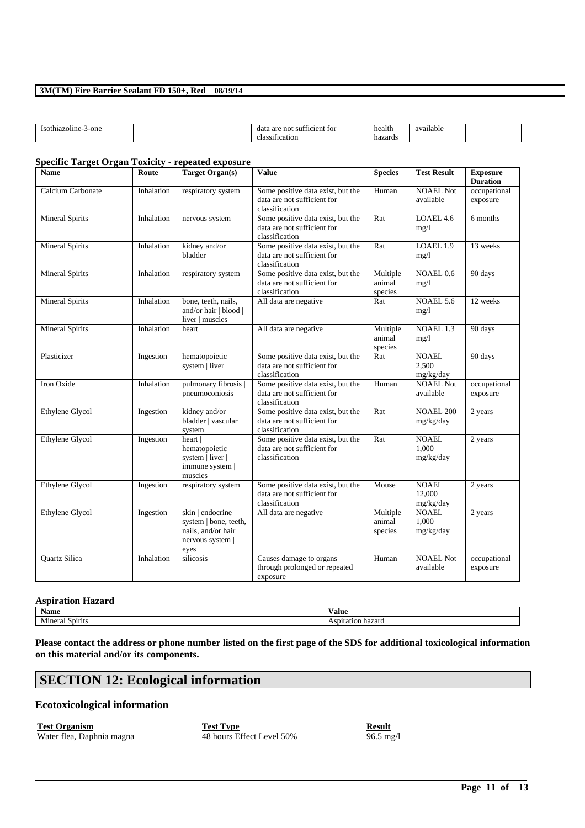| -one<br>ISO1<br>:h1azol1ne | .<br>data<br>śП<br>$\gamma$ en<br>tor<br>are<br>- ne<br>10<br>*ication<br>$\sim$<br>ла | health<br>hazards | Q <sub>T</sub><br>lable<br>мπ |  |
|----------------------------|----------------------------------------------------------------------------------------|-------------------|-------------------------------|--|
|----------------------------|----------------------------------------------------------------------------------------|-------------------|-------------------------------|--|

### **Specific Target Organ Toxicity - repeated exposure**

| <b>Name</b>            | Route      | <b>Target Organ(s)</b>                                                                        | <b>Value</b>                                                                       | <b>Species</b>                | <b>Test Result</b>                  | <b>Exposure</b><br><b>Duration</b> |
|------------------------|------------|-----------------------------------------------------------------------------------------------|------------------------------------------------------------------------------------|-------------------------------|-------------------------------------|------------------------------------|
| Calcium Carbonate      | Inhalation | respiratory system                                                                            | Some positive data exist, but the<br>data are not sufficient for<br>classification | Human                         | <b>NOAEL Not</b><br>available       | occupational<br>exposure           |
| <b>Mineral Spirits</b> | Inhalation | nervous system                                                                                | Some positive data exist, but the<br>data are not sufficient for<br>classification | Rat                           | LOAEL 4.6<br>mg/1                   | 6 months                           |
| <b>Mineral Spirits</b> | Inhalation | kidney and/or<br>bladder                                                                      | Some positive data exist, but the<br>data are not sufficient for<br>classification | Rat                           | LOAEL 1.9<br>mg/1                   | 13 weeks                           |
| <b>Mineral Spirits</b> | Inhalation | respiratory system                                                                            | Some positive data exist, but the<br>data are not sufficient for<br>classification | Multiple<br>animal<br>species | NOAEL 0.6<br>mg/1                   | 90 days                            |
| <b>Mineral Spirits</b> | Inhalation | bone, teeth, nails,<br>and/or hair   blood  <br>liver   muscles                               | All data are negative                                                              | Rat                           | NOAEL 5.6<br>mg/1                   | 12 weeks                           |
| <b>Mineral Spirits</b> | Inhalation | heart                                                                                         | All data are negative                                                              | Multiple<br>animal<br>species | NOAEL 1.3<br>mg/1                   | 90 days                            |
| Plasticizer            | Ingestion  | hematopoietic<br>system   liver                                                               | Some positive data exist, but the<br>data are not sufficient for<br>classification | Rat                           | <b>NOAEL</b><br>2,500<br>mg/kg/day  | 90 days                            |
| Iron Oxide             | Inhalation | pulmonary fibrosis  <br>pneumoconiosis                                                        | Some positive data exist, but the<br>data are not sufficient for<br>classification | Human                         | <b>NOAEL Not</b><br>available       | occupational<br>exposure           |
| Ethylene Glycol        | Ingestion  | kidney and/or<br>bladder   vascular<br>system                                                 | Some positive data exist, but the<br>data are not sufficient for<br>classification | Rat                           | <b>NOAEL 200</b><br>mg/kg/day       | 2 years                            |
| Ethylene Glycol        | Ingestion  | heart  <br>hematopoietic<br>system   liver  <br>immune system  <br>muscles                    | Some positive data exist, but the<br>data are not sufficient for<br>classification | Rat                           | <b>NOAEL</b><br>1.000<br>mg/kg/day  | 2 years                            |
| Ethylene Glycol        | Ingestion  | respiratory system                                                                            | Some positive data exist, but the<br>data are not sufficient for<br>classification | Mouse                         | <b>NOAEL</b><br>12,000<br>mg/kg/day | 2 years                            |
| Ethylene Glycol        | Ingestion  | skin   endocrine<br>system   bone, teeth,<br>nails, and/or hair  <br>nervous system  <br>eyes | All data are negative                                                              | Multiple<br>animal<br>species | <b>NOAEL</b><br>1,000<br>mg/kg/day  | 2 years                            |
| Quartz Silica          | Inhalation | silicosis                                                                                     | Causes damage to organs<br>through prolonged or repeated<br>exposure               | Human                         | <b>NOAEL Not</b><br>available       | occupational<br>exposure           |

### **Aspiration Hazard**

| Name<br>Value |       |
|---------------|-------|
| - -           | zaro  |
| 0.931         | atıon |
| mırıt.        |       |
| пf            | Пč    |
| 211           | 61 I  |

**Please contact the address or phone number listed on the first page of the SDS for additional toxicological information on this material and/or its components.**

\_\_\_\_\_\_\_\_\_\_\_\_\_\_\_\_\_\_\_\_\_\_\_\_\_\_\_\_\_\_\_\_\_\_\_\_\_\_\_\_\_\_\_\_\_\_\_\_\_\_\_\_\_\_\_\_\_\_\_\_\_\_\_\_\_\_\_\_\_\_\_\_\_\_\_\_\_\_\_\_\_\_\_\_\_\_\_\_\_\_

# **SECTION 12: Ecological information**

### **Ecotoxicological information**

**Test Organism**<br>Water flea, Daphnia magna<br> **Test Type**<br>  $\frac{Test Type}{48 \text{ hours Effect Level 50\%}}$  **Result Result Result Result Result Result Result Result Result Result Result Result Result Result Result Result** Water flea, Daphnia magna 48 hours Effect Level 50% 96.5 mg/l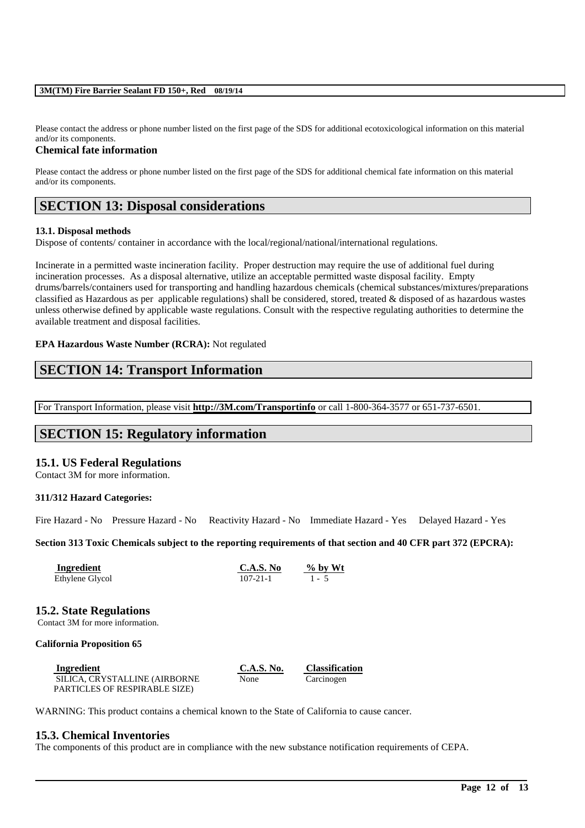Please contact the address or phone number listed on the first page of the SDS for additional ecotoxicological information on this material and/or its components.

### **Chemical fate information**

Please contact the address or phone number listed on the first page of the SDS for additional chemical fate information on this material and/or its components.

## **SECTION 13: Disposal considerations**

### **13.1. Disposal methods**

Dispose of contents/ container in accordance with the local/regional/national/international regulations.

Incinerate in a permitted waste incineration facility. Proper destruction may require the use of additional fuel during incineration processes. As a disposal alternative, utilize an acceptable permitted waste disposal facility. Empty drums/barrels/containers used for transporting and handling hazardous chemicals (chemical substances/mixtures/preparations classified as Hazardous as per applicable regulations) shall be considered, stored, treated & disposed of as hazardous wastes unless otherwise defined by applicable waste regulations. Consult with the respective regulating authorities to determine the available treatment and disposal facilities.

### **EPA Hazardous Waste Number (RCRA):** Not regulated

## **SECTION 14: Transport Information**

For Transport Information, please visit **http://3M.com/Transportinfo** or call 1-800-364-3577 or 651-737-6501.

## **SECTION 15: Regulatory information**

### **15.1. US Federal Regulations**

Contact 3M for more information.

### **311/312 Hazard Categories:**

Fire Hazard - No Pressure Hazard - No Reactivity Hazard - No Immediate Hazard - Yes Delayed Hazard - Yes

**Section 313 Toxic Chemicals subject to the reporting requirements of that section and 40 CFR part 372 (EPCRA):**

| Ingredient      | C.A.S. No      | $\%$ by Wt |
|-----------------|----------------|------------|
| Ethylene Glycol | $107 - 21 - 1$ | $1 - 5$    |

### **15.2. State Regulations**

Contact 3M for more information.

### **California Proposition 65**

| Ingredient                    | <b>C.A.S. No.</b> | <b>Classification</b> |
|-------------------------------|-------------------|-----------------------|
| SILICA, CRYSTALLINE (AIRBORNE | None              | Carcinogen            |
| PARTICLES OF RESPIRABLE SIZE) |                   |                       |

WARNING: This product contains a chemical known to the State of California to cause cancer.

### **15.3. Chemical Inventories**

The components of this product are in compliance with the new substance notification requirements of CEPA.